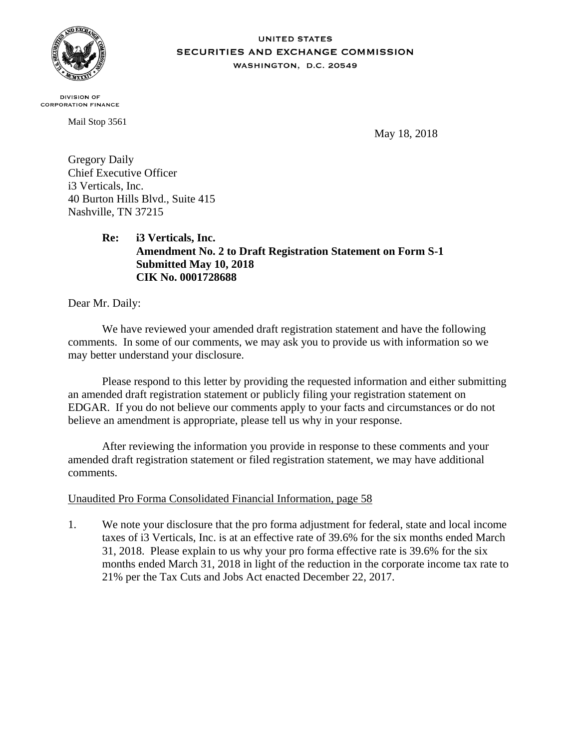

## **UNITED STATES** SECURITIES AND EXCHANGE COMMISSION WASHINGTON, D.C. 20549

**DIVISION OF CORPORATION FINANCE** 

Mail Stop 3561

May 18, 2018

Gregory Daily Chief Executive Officer i3 Verticals, Inc. 40 Burton Hills Blvd., Suite 415 Nashville, TN 37215

> **Re: i3 Verticals, Inc. Amendment No. 2 to Draft Registration Statement on Form S-1 Submitted May 10, 2018 CIK No. 0001728688**

Dear Mr. Daily:

We have reviewed your amended draft registration statement and have the following comments. In some of our comments, we may ask you to provide us with information so we may better understand your disclosure.

Please respond to this letter by providing the requested information and either submitting an amended draft registration statement or publicly filing your registration statement on EDGAR. If you do not believe our comments apply to your facts and circumstances or do not believe an amendment is appropriate, please tell us why in your response.

After reviewing the information you provide in response to these comments and your amended draft registration statement or filed registration statement, we may have additional comments.

## Unaudited Pro Forma Consolidated Financial Information, page 58

1. We note your disclosure that the pro forma adjustment for federal, state and local income taxes of i3 Verticals, Inc. is at an effective rate of 39.6% for the six months ended March 31, 2018. Please explain to us why your pro forma effective rate is 39.6% for the six months ended March 31, 2018 in light of the reduction in the corporate income tax rate to 21% per the Tax Cuts and Jobs Act enacted December 22, 2017.